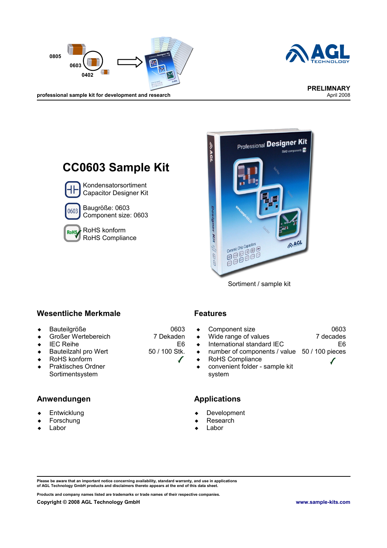



professional sample kit for development and research





Sortiment / sample kit

#### **Wesentliche Merkmale Features**

- Bauteilgröße
- ◆ Großer Wertebereich
- $\leftarrow$  IEC Reihe
- ◆ Bauteilzahl pro Wert
- ◆ RoHS konform
- ◆ Praktisches Ordner Sortimentsystem

#### **Anwendungen Applications**

- Entwicklung
- Forschung
- Labor

0603 7 Dekaden

50 / 100 Stk.

E6

 $\sqrt{}$ 

- Component size 0603 7 decades
- Wide range of values
- International standard IEC
- number of components / value 50 / 100 pieces
- RoHS Compliance
- convenient folder sample kit system

- Development
- Research
- Labor

**Please be aware that an important notice concerning availability, standard warranty, and use in applications of AGL Technology GmbH products and disclaimers thereto appears at the end of this data sheet.**

**Products and company names listed are trademarks or trade names of their respective companies.**

E6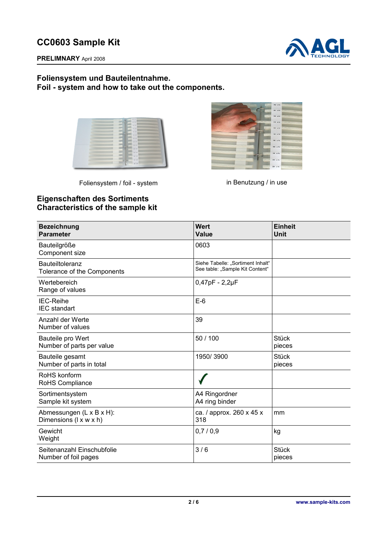

**PRELIMNARY** April 2008

#### **Foliensystem und Bauteilentnahme. Foil - system and how to take out the components.**

| $\overline{a}$                                                                                                       | COLLEGE AVE AVE           |                | ,,,,,,,,,,,,,,,,,,,,,,,,,,,,,,,,,,,, |
|----------------------------------------------------------------------------------------------------------------------|---------------------------|----------------|--------------------------------------|
| . .                                                                                                                  | We see their              |                |                                      |
|                                                                                                                      | THE WAY . THE R. P. LEWIS |                | ,,,,,,,,,,,,,,,,,,,,,,,,,,,,,,,,,,,  |
| <b>TAXABLE</b>                                                                                                       | 199888                    | <b>SHE STR</b> |                                      |
|                                                                                                                      | COLLEGE ON ATA            |                |                                      |
|                                                                                                                      | <b>TELEST</b>             |                | OF AN INTERFERENCES CONTINUES INTO   |
|                                                                                                                      | FIX NO. STELLE            |                |                                      |
| <u> 1222 : 1232 : 1233 : 1233 : 1233 : 1233 : 1233 : 1243 : 1254 : 1255 : 1255 : 1255 : 1255 : 1255 : 1255 : 125</u> | <b>COLLEGE STATE</b>      |                | ,,,,,,,,,,,,,,,,,,,,,,,,,,,,,,,,,,,, |
|                                                                                                                      | <b>ALLES 198, ATX</b>     |                | ------------------------------------ |
|                                                                                                                      |                           |                |                                      |
|                                                                                                                      | FLATTE SHEATS             |                |                                      |
|                                                                                                                      | <b>CONTRACTOR</b>         |                |                                      |
|                                                                                                                      | <b>CERRET DN 175</b>      |                |                                      |
|                                                                                                                      |                           |                |                                      |

Foliensystem / foil - system in Benutzung / in use



## **Eigenschaften des Sortiments Characteristics of the sample kit**

| <b>Bezeichnung</b><br><b>Parameter</b>                | <b>Wert</b><br><b>Value</b>                                          | <b>Einheit</b><br>Unit |
|-------------------------------------------------------|----------------------------------------------------------------------|------------------------|
| Bauteilgröße<br>Component size                        | 0603                                                                 |                        |
| <b>Bauteiltoleranz</b><br>Tolerance of the Components | Siehe Tabelle: "Sortiment Inhalt"<br>See table: "Sample Kit Content" |                        |
| Wertebereich<br>Range of values                       | $0,47pF - 2,2\mu F$                                                  |                        |
| <b>IEC-Reihe</b><br><b>IEC</b> standart               | $E-6$                                                                |                        |
| Anzahl der Werte<br>Number of values                  | 39                                                                   |                        |
| Bauteile pro Wert<br>Number of parts per value        | 50 / 100                                                             | <b>Stück</b><br>pieces |
| Bauteile gesamt<br>Number of parts in total           | 1950/3900                                                            | <b>Stück</b><br>pieces |
| RoHS konform<br>RoHS Compliance                       |                                                                      |                        |
| Sortimentsystem<br>Sample kit system                  | A4 Ringordner<br>A4 ring binder                                      |                        |
| Abmessungen (L x B x H):<br>Dimensions (I x w x h)    | ca. / approx. 260 x 45 x<br>318                                      | mm                     |
| Gewicht<br>Weight                                     | 0,7/0,9                                                              | kg                     |
| Seitenanzahl Einschubfolie<br>Number of foil pages    | 3/6                                                                  | <b>Stück</b><br>pieces |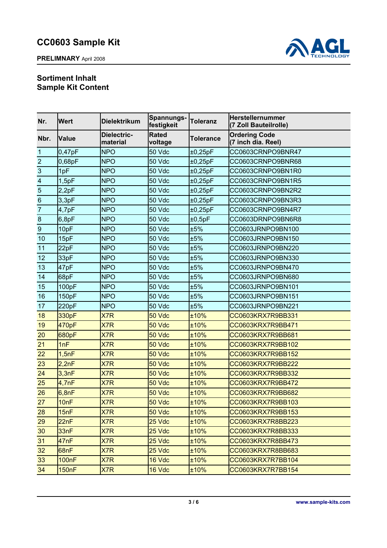**PRELIMNARY** April 2008



## **Sortiment Inhalt Sample Kit Content**

| Nr.                     | <b>Wert</b>  | <b>Dielektrikum</b>     | Spannungs-<br>festigkeit | <b>Toleranz</b>  | Herstellernummer<br>(7 Zoll Bauteilrolle)  |  |
|-------------------------|--------------|-------------------------|--------------------------|------------------|--------------------------------------------|--|
| Nbr.                    | <b>Value</b> | Dielectric-<br>material | <b>Rated</b><br>voltage  | <b>Tolerance</b> | <b>Ordering Code</b><br>(7 inch dia. Reel) |  |
| 1                       | 0,47pF       | <b>NPO</b>              | 50 Vdc                   | ±0,25pF          | CC0603CRNPO9BNR47                          |  |
| $\overline{c}$          | 0,68pF       | <b>NPO</b>              | 50 Vdc                   | ±0,25pF          | CC0603CRNPO9BNR68                          |  |
| 3                       | 1pF          | <b>NPO</b>              | 50 Vdc                   | $\pm 0,25$ pF    | CC0603CRNPO9BN1R0                          |  |
| $\overline{\mathbf{4}}$ | 1,5pF        | <b>NPO</b>              | 50 Vdc                   | ±0,25pF          | CC0603CRNPO9BN1R5                          |  |
| 5                       | 2,2pF        | <b>NPO</b>              | 50 Vdc                   | ±0,25pF          | CC0603CRNPO9BN2R2                          |  |
| $6\phantom{a}$          | 3,3pF        | <b>NPO</b>              | 50 Vdc                   | ±0,25pF          | CC0603CRNPO9BN3R3                          |  |
| $\overline{7}$          | 4,7pF        | <b>NPO</b>              | 50 Vdc                   | ±0,25pF          | CC0603CRNPO9BN4R7                          |  |
| $\bf 8$                 | 6,8pF        | <b>NPO</b>              | 50 Vdc                   | ±0,5pF           | CC0603DRNPO9BN6R8                          |  |
| $\boldsymbol{9}$        | 10pF         | <b>NPO</b>              | 50 Vdc                   | ±5%              | CC0603JRNPO9BN100                          |  |
| 10                      | 15pF         | <b>NPO</b>              | 50 Vdc                   | ±5%              | CC0603JRNPO9BN150                          |  |
| 11                      | 22pF         | <b>NPO</b>              | 50 Vdc                   | ±5%              | CC0603JRNPO9BN220                          |  |
| 12                      | 33pF         | <b>NPO</b>              | 50 Vdc                   | ±5%              | CC0603JRNPO9BN330                          |  |
| 13                      | 47pF         | <b>NPO</b>              | 50 Vdc                   | ±5%              | CC0603JRNPO9BN470                          |  |
| 14                      | 68pF         | <b>NPO</b>              | 50 Vdc                   | ±5%              | CC0603JRNPO9BN680                          |  |
| 15                      | 100pF        | <b>NPO</b>              | 50 Vdc                   | ±5%              | CC0603JRNPO9BN101                          |  |
| 16                      | 150pF        | <b>NPO</b>              | 50 Vdc                   | ±5%              | CC0603JRNPO9BN151                          |  |
| 17                      | 220pF        | <b>NPO</b>              | 50 Vdc                   | ±5%              | CC0603JRNPO9BN221                          |  |
| 18                      | 330pF        | X7R                     | 50 Vdc                   | ±10%             | CC0603KRX7R9BB331                          |  |
| 19                      | 470pF        | X7R                     | 50 Vdc                   | ±10%             | CC0603KRX7R9BB471                          |  |
| 20                      | 680pF        | X7R                     | 50 Vdc                   | ±10%             | CC0603KRX7R9BB681                          |  |
| 21                      | 1nF          | X7R                     | 50 Vdc                   | ±10%             | CC0603KRX7R9BB102                          |  |
| 22                      | 1,5nF        | X7R                     | 50 Vdc                   | ±10%             | CC0603KRX7R9BB152                          |  |
| 23                      | 2,2nF        | X7R                     | 50 Vdc                   | ±10%             | CC0603KRX7R9BB222                          |  |
| 24                      | 3,3nF        | X7R                     | 50 Vdc                   | ±10%             | CC0603KRX7R9BB332                          |  |
| 25                      | 4,7nF        | X7R                     | 50 Vdc                   | ±10%             | CC0603KRX7R9BB472                          |  |
| 26                      | 6,8nF        | X7R                     | 50 Vdc                   | ±10%             | CC0603KRX7R9BB682                          |  |
| 27                      | 10nF         | X7R                     | 50 Vdc                   | ±10%             | CC0603KRX7R9BB103                          |  |
| 28                      | 15nF         | X7R                     | 50 Vdc                   | ±10%             | CC0603KRX7R9BB153                          |  |
| 29                      | 22nF         | X7R                     | 25 Vdc                   | ±10%             | CC0603KRX7R8BB223                          |  |
| 30                      | 33nF         | X7R                     | 25 Vdc                   | $±10\%$          | CC0603KRX7R8BB333                          |  |
| 31                      | 47nF         | X7R                     | 25 Vdc                   | ±10%             | CC0603KRX7R8BB473                          |  |
| 32                      | 68nF         | X7R                     | 25 Vdc                   | ±10%             | CC0603KRX7R8BB683                          |  |
| 33                      | <b>100nF</b> | X7R                     | 16 Vdc                   | ±10%             | CC0603KRX7R7BB104                          |  |
| 34                      | <b>150nF</b> | X7R                     | 16 Vdc                   | $±10\%$          | CC0603KRX7R7BB154                          |  |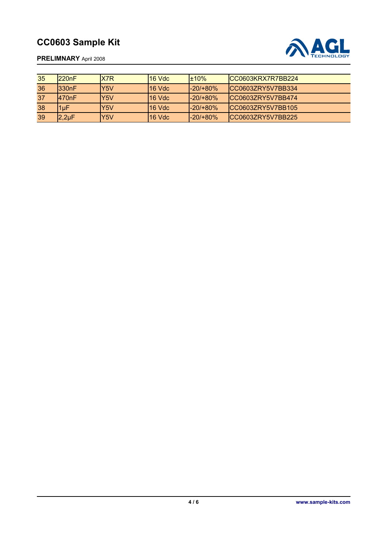

**PRELIMNARY** April 2008

| 35 | 1220nF     | X7R | l16 Vdc | $+10%$      | ICC0603KRX7R7BB224 |
|----|------------|-----|---------|-------------|--------------------|
| 36 | 1330nF     | Y5V | 16 Vdc  | -20/+80%    | ICC0603ZRY5V7BB334 |
| 37 | 1470nF     | Y5V | l16 Vdc | $-20/180\%$ | ICC06037RY5V7BB474 |
| 38 | 1uF        | Y5V | 16 Vdc  | -20/+80%    | ICC0603ZRY5V7BB105 |
| 39 | $2,2\mu F$ | Y5V | 16 Vdc  | -20/+80%    | ICC0603ZRY5V7BB225 |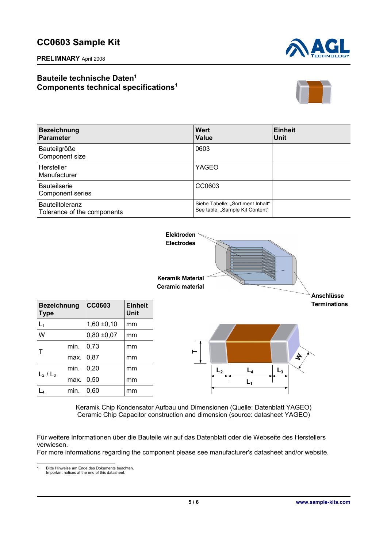**PRELIMNARY** April 2008



## **Bauteile technische Daten[1](#page-4-0) Components technical specifications<sup>1</sup>**



| <b>Bezeichnung</b><br><b>Parameter</b>                | <b>Wert</b><br><b>Value</b>                                          | <b>Einheit</b><br><b>Unit</b> |
|-------------------------------------------------------|----------------------------------------------------------------------|-------------------------------|
| Bauteilgröße<br>Component size                        | 0603                                                                 |                               |
| Hersteller<br>Manufacturer                            | YAGEO                                                                |                               |
| <b>Bauteilserie</b><br><b>Component series</b>        | CC0603                                                               |                               |
| <b>Bauteiltoleranz</b><br>Tolerance of the components | Siehe Tabelle: "Sortiment Inhalt"<br>See table: "Sample Kit Content" |                               |



Keramik Chip Kondensator Aufbau und Dimensionen (Quelle: Datenblatt YAGEO) Ceramic Chip Capacitor construction and dimension (source: datasheet YAGEO)

Für weitere Informationen über die Bauteile wir auf das Datenblatt oder die Webseite des Herstellers verwiesen.

For more informations regarding the component please see manufacturer's datasheet and/or website.

<span id="page-4-0"></span>1 Bitte Hinweise am Ende des Dokuments beachten. Important notices at the end of this datasheet.